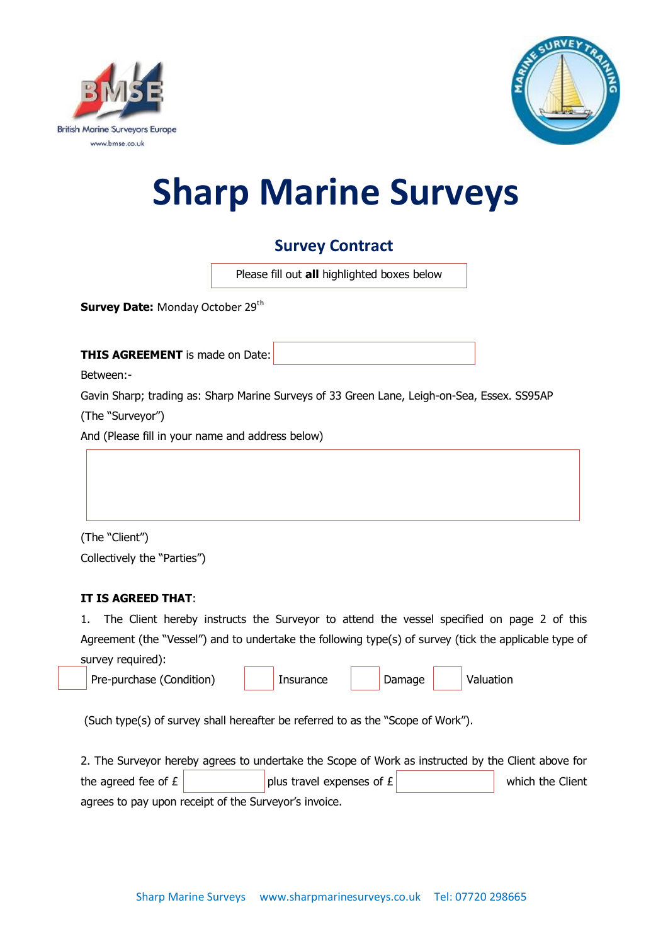



# **Sharp Marine Surveys**

## **Survey Contract**

Please fill out **all** highlighted boxes below

**Survey Date: Monday October 29th** 

**THIS AGREEMENT** is made on Date:

Between:-

Gavin Sharp; trading as: Sharp Marine Surveys of 33 Green Lane, Leigh-on-Sea, Essex. SS95AP (The "Surveyor")

And (Please fill in your name and address below)



(The "Client") Collectively the "Parties")

#### **IT IS AGREED THAT**:

1. The Client hereby instructs the Surveyor to attend the vessel specified on page 2 of this Agreement (the "Vessel") and to undertake the following type(s) of survey (tick the applicable type of survey required):

| Pre-purchase (Condition) |  | Insurance |  | Damage |  | Valuation |
|--------------------------|--|-----------|--|--------|--|-----------|
|--------------------------|--|-----------|--|--------|--|-----------|

(Such type(s) of survey shall hereafter be referred to as the "Scope of Work").

2. The Surveyor hereby agrees to undertake the Scope of Work as instructed by the Client above for the agreed fee of  $E$  plus travel expenses of  $E$  which the Client agrees to pay upon receipt of the Surveyor's invoice.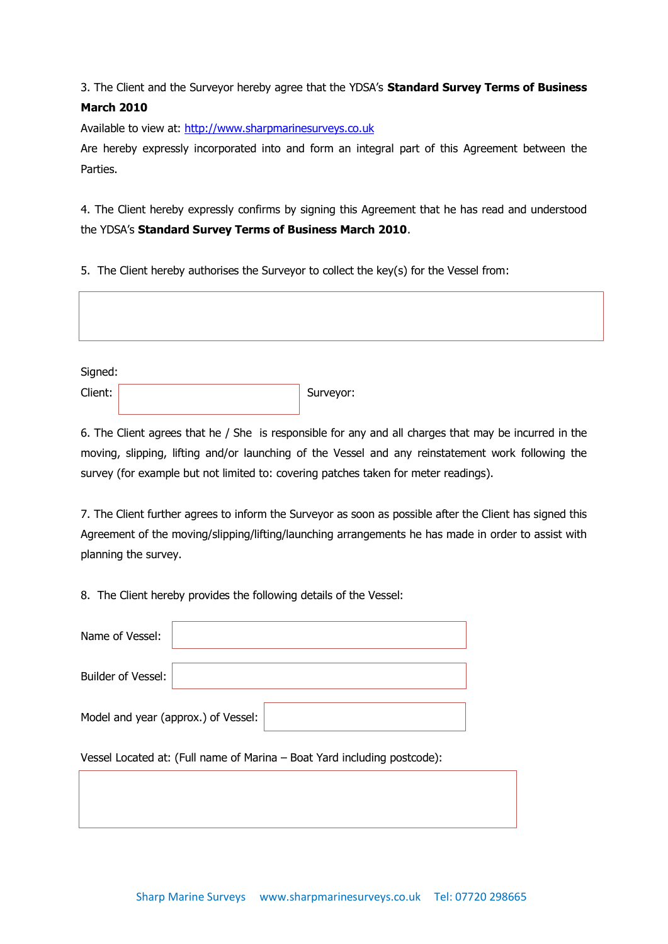### 3. The Client and the Surveyor hereby agree that the YDSA's **Standard Survey Terms of Business March 2010**

Available to view at: [http://www.sharpmarinesurveys.co.uk](http://www.sharpmarinesurveys.co.uk/)

Are hereby expressly incorporated into and form an integral part of this Agreement between the Parties.

4. The Client hereby expressly confirms by signing this Agreement that he has read and understood the YDSA's **Standard Survey Terms of Business March 2010**.

5. The Client hereby authorises the Surveyor to collect the key(s) for the Vessel from:

Signed:

Client: Surveyor:

6. The Client agrees that he / She is responsible for any and all charges that may be incurred in the moving, slipping, lifting and/or launching of the Vessel and any reinstatement work following the survey (for example but not limited to: covering patches taken for meter readings).

7. The Client further agrees to inform the Surveyor as soon as possible after the Client has signed this Agreement of the moving/slipping/lifting/launching arrangements he has made in order to assist with planning the survey.

8. The Client hereby provides the following details of the Vessel:

| Name of Vessel:                                                          |  |  |  |  |  |  |  |
|--------------------------------------------------------------------------|--|--|--|--|--|--|--|
| <b>Builder of Vessel:</b>                                                |  |  |  |  |  |  |  |
| Model and year (approx.) of Vessel:                                      |  |  |  |  |  |  |  |
| Vessel Located at: (Full name of Marina - Boat Yard including postcode): |  |  |  |  |  |  |  |
|                                                                          |  |  |  |  |  |  |  |